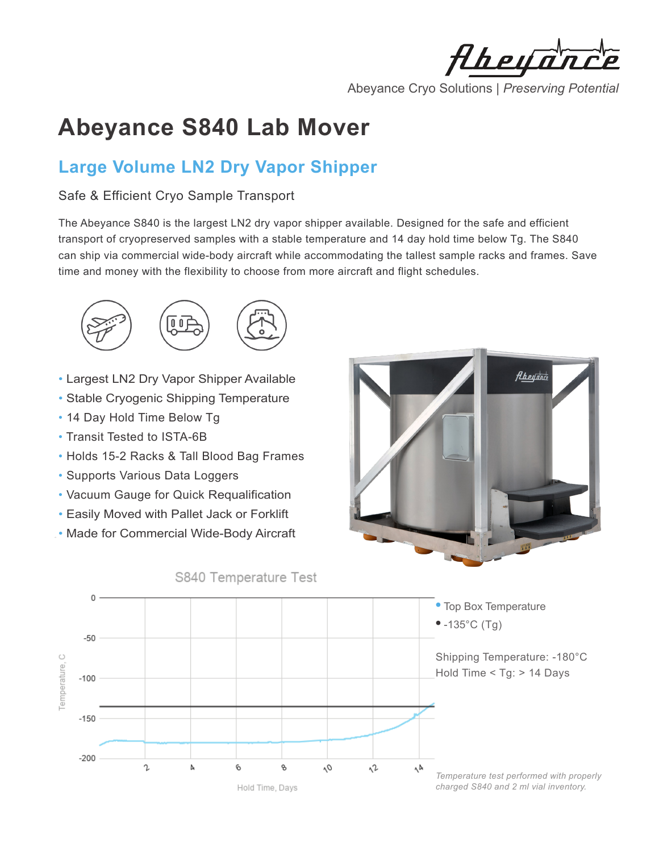Aheya

Abeyance Cryo Solutions | *Preserving Potential*

# **Abeyance S840 Lab Mover**

# **Large Volume LN2 Dry Vapor Shipper**

## Safe & Efficient Cryo Sample Transport

The Abeyance S840 is the largest LN2 dry vapor shipper available. Designed for the safe and efficient transport of cryopreserved samples with a stable temperature and 14 day hold time below Tg. The S840 can ship via commercial wide-body aircraft while accommodating the tallest sample racks and frames. Save time and money with the flexibility to choose from more aircraft and flight schedules.



- Largest LN2 Dry Vapor Shipper Available
- Stable Cryogenic Shipping Temperature
- 14 Day Hold Time Below Tg
- Transit Tested to ISTA-6B
- Holds 15-2 Racks & Tall Blood Bag Frames
- Supports Various Data Loggers
- Vacuum Gauge for Quick Requalification
- Easily Moved with Pallet Jack or Forklift
- Made for Commercial Wide-Body Aircraft

S840 Temperature Test